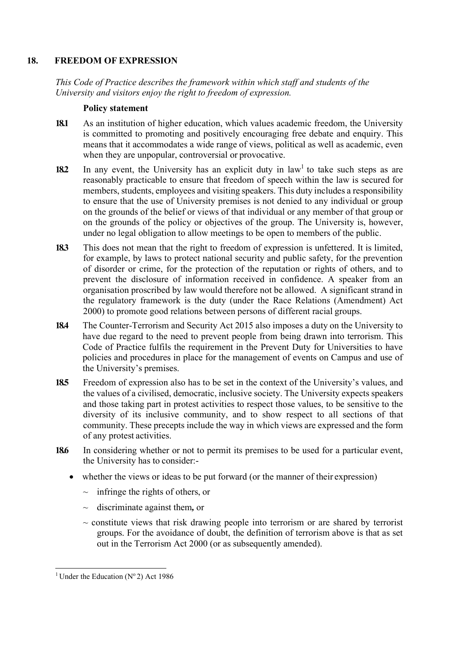# **18. FREEDOM OF EXPRESSION**

*This Code of Practice describes the framework within which staff and students of the University and visitors enjoy the right to freedom of expression.*

#### **Policy statement**

- **18.1** As an institution of higher education, which values academic freedom, the University is committed to promoting and positively encouraging free debate and enquiry. This means that it accommodates a wide range of views, political as well as academic, even when they are unpopular, controversial or provocative.
- **18.2** In any event, the University has an explicit duty in law<sup>1</sup> to take such steps as are reasonably practicable to ensure that freedom of speech within the law is secured for members, students, employees and visiting speakers. This duty includes a responsibility to ensure that the use of University premises is not denied to any individual or group on the grounds of the belief or views of that individual or any member of that group or on the grounds of the policy or objectives of the group. The University is, however, under no legal obligation to allow meetings to be open to members of the public.
- **18.3** This does not mean that the right to freedom of expression is unfettered. It is limited, for example, by laws to protect national security and public safety, for the prevention of disorder or crime, for the protection of the reputation or rights of others, and to prevent the disclosure of information received in confidence. A speaker from an organisation proscribed by law would therefore not be allowed. A significant strand in the regulatory framework is the duty (under the Race Relations (Amendment) Act 2000) to promote good relations between persons of different racial groups.
- **18.4** The Counter-Terrorism and Security Act 2015 also imposes a duty on the University to have due regard to the need to prevent people from being drawn into terrorism. This Code of Practice fulfils the requirement in the Prevent Duty for Universities to have policies and procedures in place for the management of events on Campus and use of the University's premises.
- **18.5** Freedom of expression also has to be set in the context of the University's values, and the values of a civilised, democratic, inclusive society. The University expects speakers and those taking part in protest activities to respect those values, to be sensitive to the diversity of its inclusive community, and to show respect to all sections of that community. These precepts include the way in which views are expressed and the form of any protest activities.
- **18.6** In considering whether or not to permit its premises to be used for a particular event, the University has to consider:-
	- whether the views or ideas to be put forward (or the manner of their expression)
		- $\sim$  infringe the rights of others, or
		- ~ discriminate against them*,* or
		- $\sim$  constitute views that risk drawing people into terrorism or are shared by terrorist groups. For the avoidance of doubt, the definition of terrorism above is that as set out in the Terrorism Act 2000 (or as subsequently amended).

<sup>&</sup>lt;sup>1</sup> Under the Education ( $N^{\circ}$ 2) Act 1986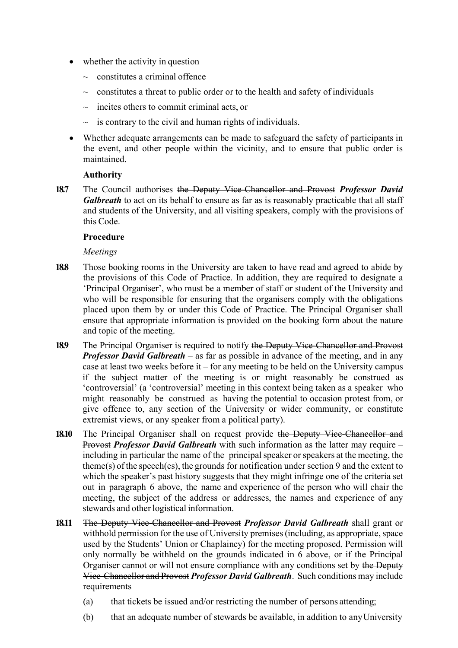- whether the activity in question
	- $\sim$  constitutes a criminal offence
	- $\sim$  constitutes a threat to public order or to the health and safety of individuals
	- $\sim$  incites others to commit criminal acts, or
	- $\sim$  is contrary to the civil and human rights of individuals.
- Whether adequate arrangements can be made to safeguard the safety of participants in the event, and other people within the vicinity, and to ensure that public order is maintained.

## **Authority**

**18.7** The Council authorises the Deputy Vice-Chancellor and Provost *Professor David Galbreath* to act on its behalf to ensure as far as is reasonably practicable that all staff and students of the University, and all visiting speakers, comply with the provisions of this Code.

## **Procedure**

## *Meetings*

- **18.8** Those booking rooms in the University are taken to have read and agreed to abide by the provisions of this Code of Practice. In addition, they are required to designate a 'Principal Organiser', who must be a member of staff or student of the University and who will be responsible for ensuring that the organisers comply with the obligations placed upon them by or under this Code of Practice. The Principal Organiser shall ensure that appropriate information is provided on the booking form about the nature and topic of the meeting.
- **18.9** The Principal Organiser is required to notify the Deputy Vice-Chancellor and Provost *Professor David Galbreath* – as far as possible in advance of the meeting, and in any case at least two weeks before it – for any meeting to be held on the University campus if the subject matter of the meeting is or might reasonably be construed as 'controversial' (a 'controversial' meeting in this context being taken as a speaker who might reasonably be construed as having the potential to occasion protest from, or give offence to, any section of the University or wider community, or constitute extremist views, or any speaker from a political party).
- **18.10** The Principal Organiser shall on request provide the Deputy Vice-Chancellor and Provost *Professor David Galbreath* with such information as the latter may require – including in particular the name of the principal speaker or speakers at the meeting, the theme(s) of the speech(es), the grounds for notification under section 9 and the extent to which the speaker's past history suggests that they might infringe one of the criteria set out in paragraph 6 above, the name and experience of the person who will chair the meeting, the subject of the address or addresses, the names and experience of any stewards and other logistical information.
- **18.11** The Deputy Vice-Chancellor and Provost *Professor David Galbreath* shall grant or withhold permission for the use of University premises (including, as appropriate, space used by the Students' Union or Chaplaincy) for the meeting proposed. Permission will only normally be withheld on the grounds indicated in 6 above, or if the Principal Organiser cannot or will not ensure compliance with any conditions set by the Deputy Vice-Chancellor and Provost *Professor David Galbreath*. Such conditions may include requirements
	- (a) that tickets be issued and/or restricting the number of persons attending;
	- (b) that an adequate number of stewards be available, in addition to anyUniversity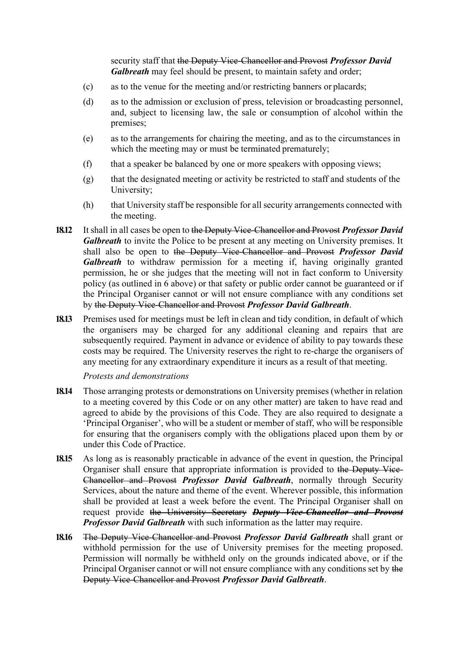security staff that the Deputy Vice-Chancellor and Provost *Professor David Galbreath* may feel should be present, to maintain safety and order;

- (c) as to the venue for the meeting and/or restricting banners or placards;
- (d) as to the admission or exclusion of press, television or broadcasting personnel, and, subject to licensing law, the sale or consumption of alcohol within the premises;
- (e) as to the arrangements for chairing the meeting, and as to the circumstances in which the meeting may or must be terminated prematurely;
- (f) that a speaker be balanced by one or more speakers with opposing views;
- (g) that the designated meeting or activity be restricted to staff and students of the University;
- (h) that University staff be responsible for all security arrangements connected with the meeting.
- **18.12** It shall in all cases be open to the Deputy Vice-Chancellor and Provost *Professor David Galbreath* to invite the Police to be present at any meeting on University premises. It shall also be open to the Deputy Vice-Chancellor and Provost *Professor David Galbreath* to withdraw permission for a meeting if, having originally granted permission, he or she judges that the meeting will not in fact conform to University policy (as outlined in 6 above) or that safety or public order cannot be guaranteed or if the Principal Organiser cannot or will not ensure compliance with any conditions set by the Deputy Vice-Chancellor and Provost *Professor David Galbreath*.
- **18.13** Premises used for meetings must be left in clean and tidy condition, in default of which the organisers may be charged for any additional cleaning and repairs that are subsequently required. Payment in advance or evidence of ability to pay towards these costs may be required. The University reserves the right to re-charge the organisers of any meeting for any extraordinary expenditure it incurs as a result of that meeting.

*Protests and demonstrations*

- **18.14** Those arranging protests or demonstrations on University premises (whether in relation to a meeting covered by this Code or on any other matter) are taken to have read and agreed to abide by the provisions of this Code. They are also required to designate a 'Principal Organiser', who will be a student or member of staff, who will be responsible for ensuring that the organisers comply with the obligations placed upon them by or under this Code of Practice.
- **18.15** As long as is reasonably practicable in advance of the event in question, the Principal Organiser shall ensure that appropriate information is provided to the Deputy Vice-Chancellor and Provost *Professor David Galbreath*, normally through Security Services, about the nature and theme of the event. Wherever possible, this information shall be provided at least a week before the event. The Principal Organiser shall on request provide the University Secretary *Deputy Vice-Chancellor and Provost Professor David Galbreath* with such information as the latter may require.
- **18.16** The Deputy Vice-Chancellor and Provost *Professor David Galbreath* shall grant or withhold permission for the use of University premises for the meeting proposed. Permission will normally be withheld only on the grounds indicated above, or if the Principal Organiser cannot or will not ensure compliance with any conditions set by the Deputy Vice-Chancellor and Provost *Professor David Galbreath*.